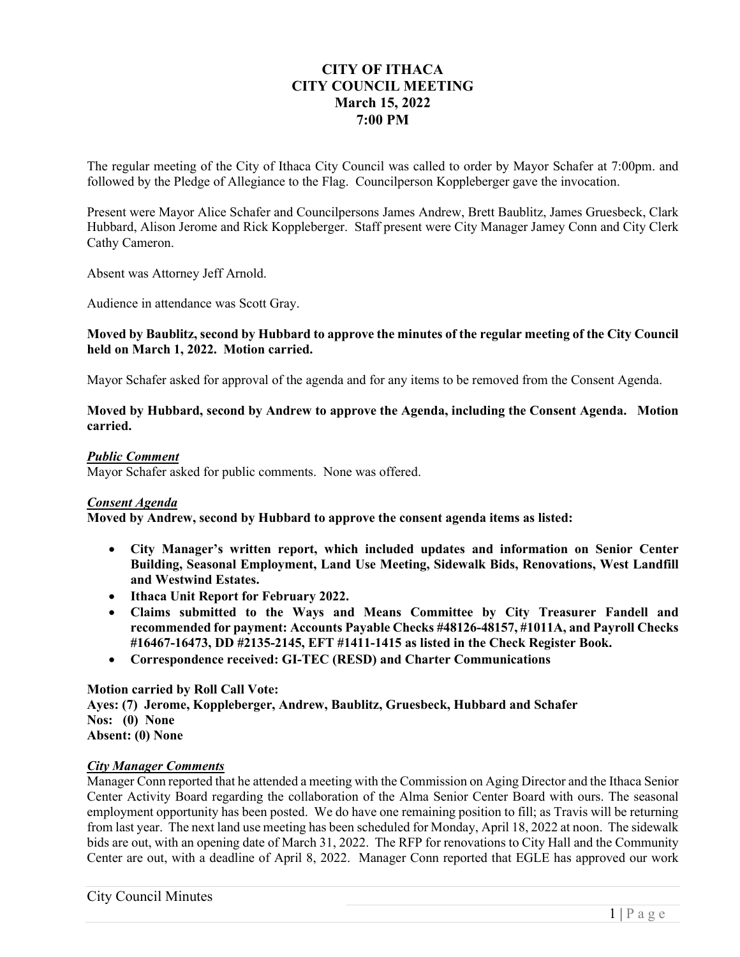# **CITY OF ITHACA CITY COUNCIL MEETING March 15, 2022 7:00 PM**

The regular meeting of the City of Ithaca City Council was called to order by Mayor Schafer at 7:00pm. and followed by the Pledge of Allegiance to the Flag. Councilperson Koppleberger gave the invocation.

Present were Mayor Alice Schafer and Councilpersons James Andrew, Brett Baublitz, James Gruesbeck, Clark Hubbard, Alison Jerome and Rick Koppleberger. Staff present were City Manager Jamey Conn and City Clerk Cathy Cameron.

Absent was Attorney Jeff Arnold.

Audience in attendance was Scott Gray.

# **Moved by Baublitz, second by Hubbard to approve the minutes of the regular meeting of the City Council held on March 1, 2022. Motion carried.**

Mayor Schafer asked for approval of the agenda and for any items to be removed from the Consent Agenda.

# **Moved by Hubbard, second by Andrew to approve the Agenda, including the Consent Agenda. Motion carried.**

## *Public Comment*

Mayor Schafer asked for public comments. None was offered.

# *Consent Agenda*

**Moved by Andrew, second by Hubbard to approve the consent agenda items as listed:** 

- **City Manager's written report, which included updates and information on Senior Center Building, Seasonal Employment, Land Use Meeting, Sidewalk Bids, Renovations, West Landfill and Westwind Estates.**
- **Ithaca Unit Report for February 2022.**
- **Claims submitted to the Ways and Means Committee by City Treasurer Fandell and recommended for payment: Accounts Payable Checks #48126-48157, #1011A, and Payroll Checks #16467-16473, DD #2135-2145, EFT #1411-1415 as listed in the Check Register Book.**
- **Correspondence received: GI-TEC (RESD) and Charter Communications**

# **Motion carried by Roll Call Vote:**

**Ayes: (7) Jerome, Koppleberger, Andrew, Baublitz, Gruesbeck, Hubbard and Schafer Nos: (0) None Absent: (0) None** 

## *City Manager Comments*

Manager Conn reported that he attended a meeting with the Commission on Aging Director and the Ithaca Senior Center Activity Board regarding the collaboration of the Alma Senior Center Board with ours. The seasonal employment opportunity has been posted. We do have one remaining position to fill; as Travis will be returning from last year. The next land use meeting has been scheduled for Monday, April 18, 2022 at noon. The sidewalk bids are out, with an opening date of March 31, 2022. The RFP for renovations to City Hall and the Community Center are out, with a deadline of April 8, 2022. Manager Conn reported that EGLE has approved our work